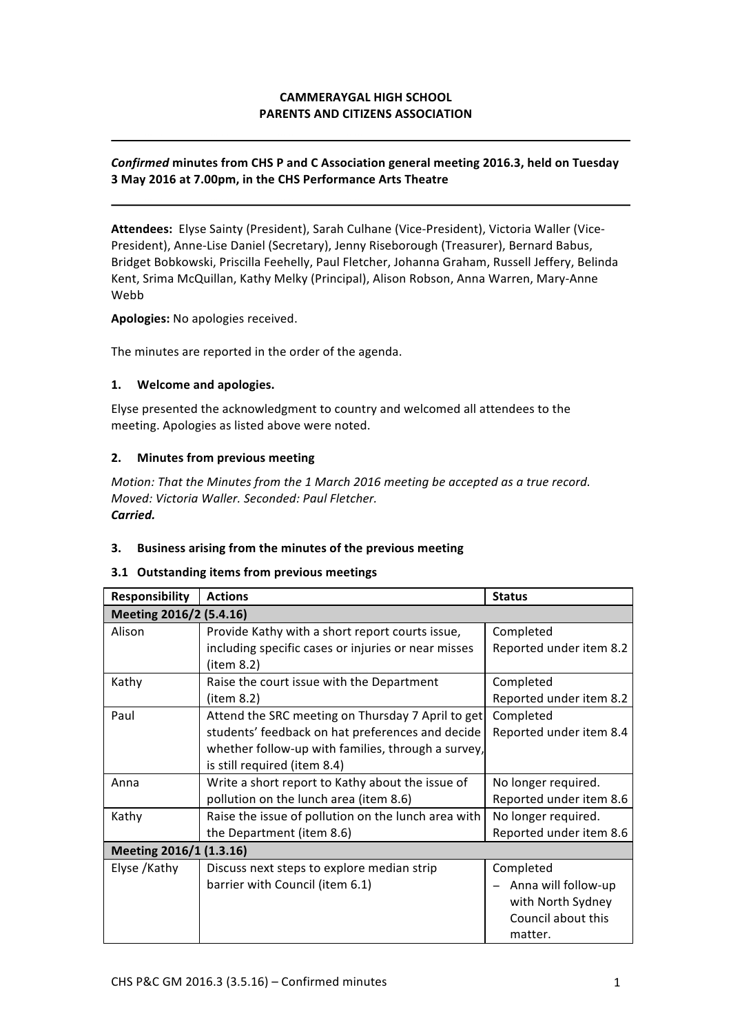# **CAMMERAYGAL HIGH SCHOOL PARENTS AND CITIZENS ASSOCIATION**

# **Confirmed minutes from CHS P and C Association general meeting 2016.3, held on Tuesday 3 May 2016 at 7.00pm, in the CHS Performance Arts Theatre**

Attendees: Elyse Sainty (President), Sarah Culhane (Vice-President), Victoria Waller (Vice-President), Anne-Lise Daniel (Secretary), Jenny Riseborough (Treasurer), Bernard Babus, Bridget Bobkowski, Priscilla Feehelly, Paul Fletcher, Johanna Graham, Russell Jeffery, Belinda Kent, Srima McQuillan, Kathy Melky (Principal), Alison Robson, Anna Warren, Mary-Anne Webb

Apologies: No apologies received.

The minutes are reported in the order of the agenda.

#### **1. Welcome and apologies.**

Elyse presented the acknowledgment to country and welcomed all attendees to the meeting. Apologies as listed above were noted.

## **2.** Minutes from previous meeting

*Motion:* That the Minutes from the 1 March 2016 meeting be accepted as a true record. *Moved: Victoria Waller. Seconded: Paul Fletcher. Carried.*

## **3.** Business arising from the minutes of the previous meeting

#### **3.1 Outstanding items from previous meetings**

| <b>Responsibility</b>   | <b>Actions</b>                                      | <b>Status</b>           |  |
|-------------------------|-----------------------------------------------------|-------------------------|--|
| Meeting 2016/2 (5.4.16) |                                                     |                         |  |
| Alison                  | Provide Kathy with a short report courts issue,     | Completed               |  |
|                         | including specific cases or injuries or near misses | Reported under item 8.2 |  |
|                         | (item 8.2)                                          |                         |  |
| Kathy                   | Raise the court issue with the Department           | Completed               |  |
|                         | (item 8.2)                                          | Reported under item 8.2 |  |
| Paul                    | Attend the SRC meeting on Thursday 7 April to get   | Completed               |  |
|                         | students' feedback on hat preferences and decide    | Reported under item 8.4 |  |
|                         | whether follow-up with families, through a survey,  |                         |  |
|                         | is still required (item 8.4)                        |                         |  |
| Anna                    | Write a short report to Kathy about the issue of    | No longer required.     |  |
|                         | pollution on the lunch area (item 8.6)              | Reported under item 8.6 |  |
| Kathy                   | Raise the issue of pollution on the lunch area with | No longer required.     |  |
|                         | the Department (item 8.6)                           | Reported under item 8.6 |  |
| Meeting 2016/1 (1.3.16) |                                                     |                         |  |
| Elyse /Kathy            | Discuss next steps to explore median strip          | Completed               |  |
|                         | barrier with Council (item 6.1)                     | Anna will follow-up     |  |
|                         |                                                     | with North Sydney       |  |
|                         |                                                     | Council about this      |  |
|                         |                                                     | matter.                 |  |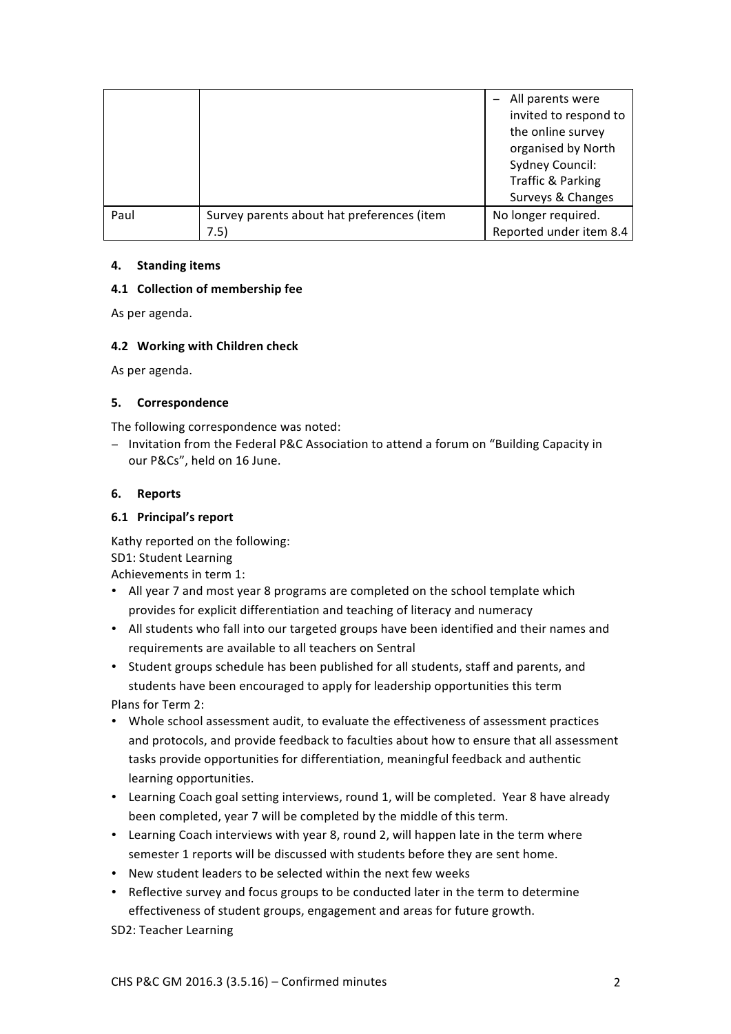|      |                                            | All parents were<br>invited to respond to<br>the online survey<br>organised by North<br>Sydney Council:<br>Traffic & Parking<br>Surveys & Changes |
|------|--------------------------------------------|---------------------------------------------------------------------------------------------------------------------------------------------------|
| Paul | Survey parents about hat preferences (item | No longer required.                                                                                                                               |
|      | 7.5)                                       | Reported under item 8.4                                                                                                                           |

# **4. Standing items**

# **4.1 Collection of membership fee**

As per agenda.

# **4.2 Working with Children check**

As per agenda.

# **5. Correspondence**

The following correspondence was noted:

− Invitation from the Federal P&C Association to attend a forum on "Building Capacity in our P&Cs", held on 16 June.

# **6. Reports**

# **6.1 Principal's report**

Kathy reported on the following: SD1: Student Learning Achievements in term 1:

- All year 7 and most year 8 programs are completed on the school template which provides for explicit differentiation and teaching of literacy and numeracy
- All students who fall into our targeted groups have been identified and their names and requirements are available to all teachers on Sentral
- Student groups schedule has been published for all students, staff and parents, and students have been encouraged to apply for leadership opportunities this term

Plans for Term 2:

- Whole school assessment audit, to evaluate the effectiveness of assessment practices and protocols, and provide feedback to faculties about how to ensure that all assessment tasks provide opportunities for differentiation, meaningful feedback and authentic learning opportunities.
- Learning Coach goal setting interviews, round 1, will be completed. Year 8 have already been completed, year 7 will be completed by the middle of this term.
- Learning Coach interviews with year 8, round 2, will happen late in the term where semester 1 reports will be discussed with students before they are sent home.
- New student leaders to be selected within the next few weeks
- Reflective survey and focus groups to be conducted later in the term to determine effectiveness of student groups, engagement and areas for future growth.

SD2: Teacher Learning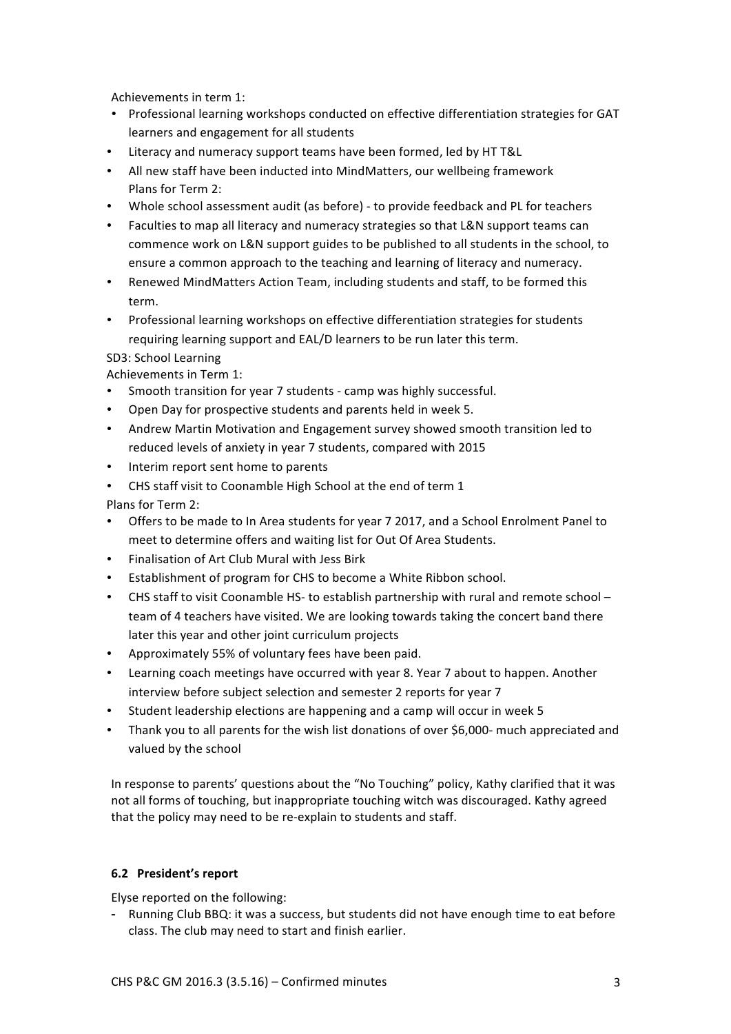Achievements in term 1:

- Professional learning workshops conducted on effective differentiation strategies for GAT learners and engagement for all students
- Literacy and numeracy support teams have been formed, led by HT T&L
- All new staff have been inducted into MindMatters, our wellbeing framework Plans for Term 2:
- Whole school assessment audit (as before) to provide feedback and PL for teachers
- Faculties to map all literacy and numeracy strategies so that L&N support teams can commence work on L&N support guides to be published to all students in the school, to ensure a common approach to the teaching and learning of literacy and numeracy.
- Renewed MindMatters Action Team, including students and staff, to be formed this term.
- Professional learning workshops on effective differentiation strategies for students requiring learning support and EAL/D learners to be run later this term.

SD3: School Learning

Achievements in Term 1:

- Smooth transition for year 7 students camp was highly successful.
- Open Day for prospective students and parents held in week 5.
- Andrew Martin Motivation and Engagement survey showed smooth transition led to reduced levels of anxiety in year 7 students, compared with 2015
- Interim report sent home to parents
- CHS staff visit to Coonamble High School at the end of term 1

Plans for Term 2:

- Offers to be made to In Area students for year 7 2017, and a School Enrolment Panel to meet to determine offers and waiting list for Out Of Area Students.
- Finalisation of Art Club Mural with Jess Birk
- Establishment of program for CHS to become a White Ribbon school.
- CHS staff to visit Coonamble HS- to establish partnership with rural and remote school team of 4 teachers have visited. We are looking towards taking the concert band there later this year and other joint curriculum projects
- Approximately 55% of voluntary fees have been paid.
- Learning coach meetings have occurred with year 8. Year 7 about to happen. Another interview before subject selection and semester 2 reports for year 7
- Student leadership elections are happening and a camp will occur in week 5
- Thank you to all parents for the wish list donations of over \$6,000- much appreciated and valued by the school

In response to parents' questions about the "No Touching" policy, Kathy clarified that it was not all forms of touching, but inappropriate touching witch was discouraged. Kathy agreed that the policy may need to be re-explain to students and staff.

# **6.2 President's report**

Elyse reported on the following:

- Running Club BBQ: it was a success, but students did not have enough time to eat before class. The club may need to start and finish earlier.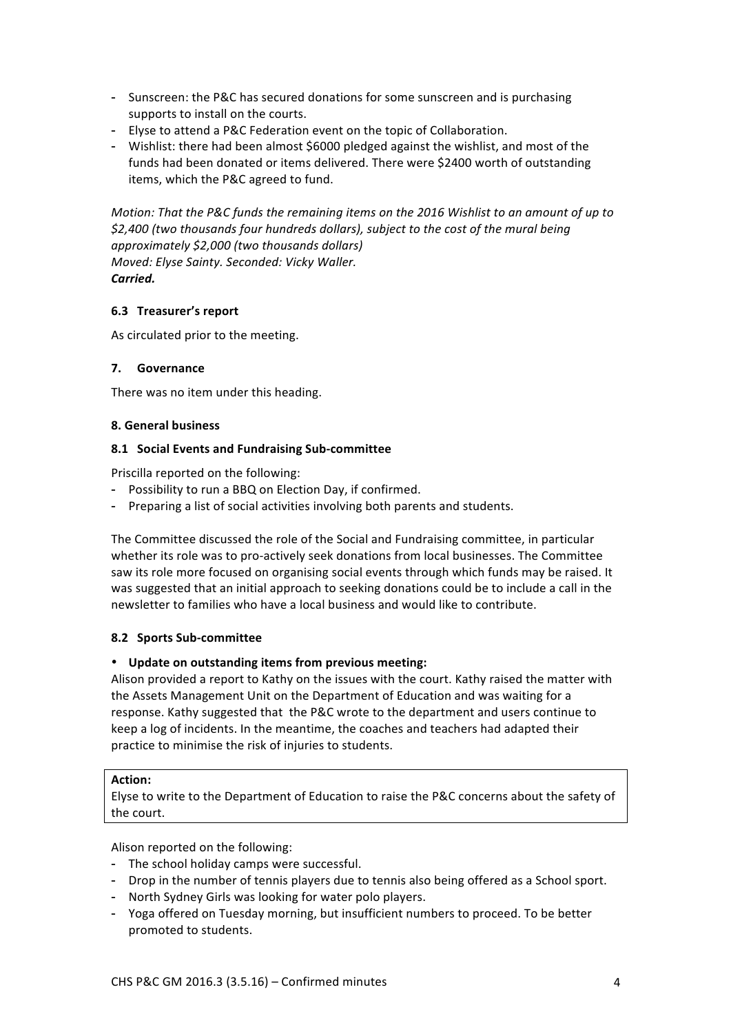- Sunscreen: the P&C has secured donations for some sunscreen and is purchasing supports to install on the courts.
- Elyse to attend a P&C Federation event on the topic of Collaboration.
- Wishlist: there had been almost \$6000 pledged against the wishlist, and most of the funds had been donated or items delivered. There were \$2400 worth of outstanding items, which the P&C agreed to fund.

*Motion:* That the P&C funds the remaining items on the 2016 Wishlist to an amount of up to \$2,400 (two thousands four hundreds dollars), subject to the cost of the mural being *approximately \$2,000 (two thousands dollars) Moved: Elyse Sainty. Seconded: Vicky Waller. Carried.*

# **6.3 Treasurer's report**

As circulated prior to the meeting.

# **7. Governance**

There was no item under this heading.

## **8. General business**

## **8.1 Social Events and Fundraising Sub-committee**

Priscilla reported on the following:

- Possibility to run a BBQ on Election Day, if confirmed.
- Preparing a list of social activities involving both parents and students.

The Committee discussed the role of the Social and Fundraising committee, in particular whether its role was to pro-actively seek donations from local businesses. The Committee saw its role more focused on organising social events through which funds may be raised. It was suggested that an initial approach to seeking donations could be to include a call in the newsletter to families who have a local business and would like to contribute.

# **8.2 Sports Sub-committee**

## • **Update on outstanding items from previous meeting:**

Alison provided a report to Kathy on the issues with the court. Kathy raised the matter with the Assets Management Unit on the Department of Education and was waiting for a response. Kathy suggested that the P&C wrote to the department and users continue to keep a log of incidents. In the meantime, the coaches and teachers had adapted their practice to minimise the risk of injuries to students.

## **Action:**

Elyse to write to the Department of Education to raise the P&C concerns about the safety of the court.

Alison reported on the following:

- The school holiday camps were successful.
- Drop in the number of tennis players due to tennis also being offered as a School sport.
- North Sydney Girls was looking for water polo players.
- Yoga offered on Tuesday morning, but insufficient numbers to proceed. To be better promoted to students.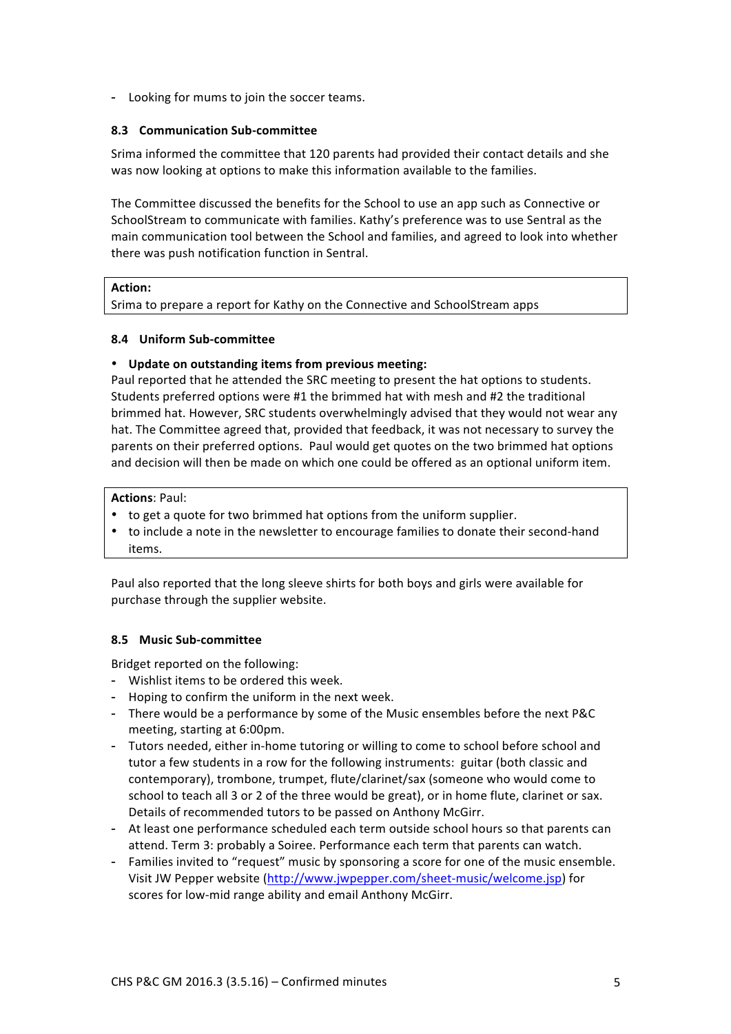- Looking for mums to join the soccer teams.

# **8.3 Communication Sub-committee**

Srima informed the committee that 120 parents had provided their contact details and she was now looking at options to make this information available to the families.

The Committee discussed the benefits for the School to use an app such as Connective or SchoolStream to communicate with families. Kathy's preference was to use Sentral as the main communication tool between the School and families, and agreed to look into whether there was push notification function in Sentral.

## **Action:**

Srima to prepare a report for Kathy on the Connective and SchoolStream apps

# **8.4 Uniform Sub-committee**

# • **Update on outstanding items from previous meeting:**

Paul reported that he attended the SRC meeting to present the hat options to students. Students preferred options were #1 the brimmed hat with mesh and #2 the traditional brimmed hat. However, SRC students overwhelmingly advised that they would not wear any hat. The Committee agreed that, provided that feedback, it was not necessary to survey the parents on their preferred options. Paul would get quotes on the two brimmed hat options and decision will then be made on which one could be offered as an optional uniform item.

## **Actions: Paul:**

- to get a quote for two brimmed hat options from the uniform supplier.
- to include a note in the newsletter to encourage families to donate their second-hand items.

Paul also reported that the long sleeve shirts for both boys and girls were available for purchase through the supplier website.

# **8.5 Music Sub-committee**

Bridget reported on the following:

- Wishlist items to be ordered this week.
- Hoping to confirm the uniform in the next week.
- There would be a performance by some of the Music ensembles before the next P&C meeting, starting at 6:00pm.
- Tutors needed, either in-home tutoring or willing to come to school before school and tutor a few students in a row for the following instruments: guitar (both classic and contemporary), trombone, trumpet, flute/clarinet/sax (someone who would come to school to teach all 3 or 2 of the three would be great), or in home flute, clarinet or sax. Details of recommended tutors to be passed on Anthony McGirr.
- At least one performance scheduled each term outside school hours so that parents can attend. Term 3: probably a Soiree. Performance each term that parents can watch.
- Families invited to "request" music by sponsoring a score for one of the music ensemble. Visit JW Pepper website (http://www.jwpepper.com/sheet-music/welcome.jsp) for scores for low-mid range ability and email Anthony McGirr.